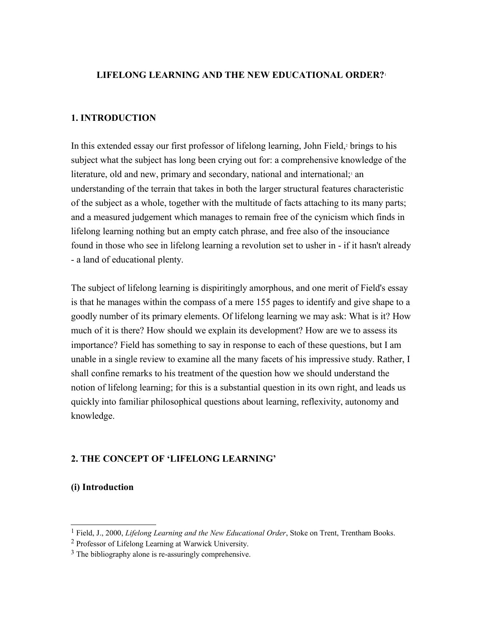# **LIFELONG LEARNING AND THE NEW EDUCATIONAL ORDER?**[1](#page-0-0)

# **1. INTRODUCTION**

Inthis extended essay our first professor of lifelong learning, John Field,<sup>2</sup> brings to his subject what the subject has long been crying out for: a comprehensive knowledge of the literature,old and new, primary and secondary, national and international;<sup>3</sup> an understanding of the terrain that takes in both the larger structural features characteristic of the subject as a whole, together with the multitude of facts attaching to its many parts; and a measured judgement which manages to remain free of the cynicism which finds in lifelong learning nothing but an empty catch phrase, and free also of the insouciance found in those who see in lifelong learning a revolution set to usher in - if it hasn't already - a land of educational plenty.

The subject of lifelong learning is dispiritingly amorphous, and one merit of Field's essay is that he manages within the compass of a mere 155 pages to identify and give shape to a goodly number of its primary elements. Of lifelong learning we may ask: What is it? How much of it is there? How should we explain its development? How are we to assess its importance? Field has something to say in response to each of these questions, but I am unable in a single review to examine all the many facets of his impressive study. Rather, I shall confine remarks to his treatment of the question how we should understand the notion of lifelong learning; for this is a substantial question in its own right, and leads us quickly into familiar philosophical questions about learning, reflexivity, autonomy and knowledge.

# **2. THE CONCEPT OF 'LIFELONG LEARNING'**

#### **(i) Introduction**

<span id="page-0-0"></span><sup>&</sup>lt;sup>1</sup> Field, J., 2000, *Lifelong Learning and the New Educational Order*, Stoke on Trent, Trentham Books.

<span id="page-0-1"></span><sup>2</sup> Professor of Lifelong Learning at Warwick University.

<span id="page-0-2"></span><sup>&</sup>lt;sup>3</sup> The bibliography alone is re-assuringly comprehensive.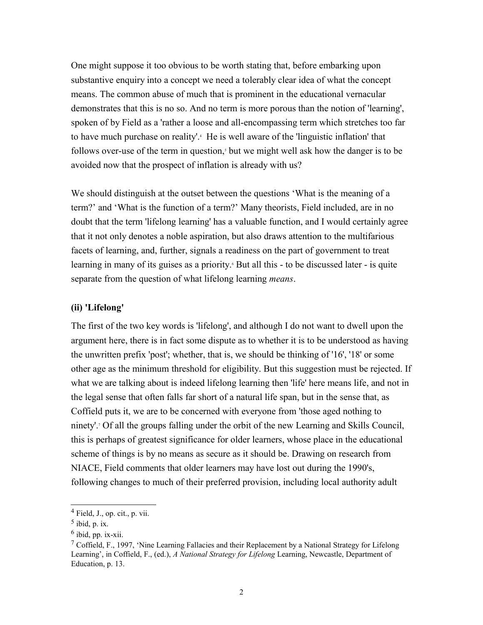One might suppose it too obvious to be worth stating that, before embarking upon substantive enquiry into a concept we need a tolerably clear idea of what the concept means. The common abuse of much that is prominent in the educational vernacular demonstrates that this is no so. And no term is more porous than the notion of 'learning', spoken of by Field as a 'rather a loose and all-encompassing term which stretches too far to have much purchase on reality'.<sup>[4](#page-1-0)</sup> He is well aware of the 'linguistic inflation' that follows over-use of the term in question, $\delta$  but we might well ask how the danger is to be avoided now that the prospect of inflation is already with us?

We should distinguish at the outset between the questions 'What is the meaning of a term?' and 'What is the function of a term?' Many theorists, Field included, are in no doubt that the term 'lifelong learning' has a valuable function, and I would certainly agree that it not only denotes a noble aspiration, but also draws attention to the multifarious facets of learning, and, further, signals a readiness on the part of government to treat learning in many of its guises as a priority. But all this - to be discussed later - is quite separate from the question of what lifelong learning *means*.

#### **(ii) 'Lifelong'**

The first of the two key words is 'lifelong', and although I do not want to dwell upon the argument here, there is in fact some dispute as to whether it is to be understood as having the unwritten prefix 'post'; whether, that is, we should be thinking of '16', '18' or some other age as the minimum threshold for eligibility. But this suggestion must be rejected. If what we are talking about is indeed lifelong learning then 'life' here means life, and not in the legal sense that often falls far short of a natural life span, but in the sense that, as Coffield puts it, we are to be concerned with everyone from 'those aged nothing to ninety'.<sup>7</sup> Of all the groups falling under the orbit of the new Learning and Skills Council, this is perhaps of greatest significance for older learners, whose place in the educational scheme of things is by no means as secure as it should be. Drawing on research from NIACE, Field comments that older learners may have lost out during the 1990's, following changes to much of their preferred provision, including local authority adult

<span id="page-1-0"></span><sup>&</sup>lt;sup>4</sup> Field, J., op. cit., p. vii.

<span id="page-1-1"></span> $<sup>5</sup>$  ibid, p. ix.</sup>

<span id="page-1-2"></span> $<sup>6</sup>$  ibid, pp. ix-xii.</sup>

<span id="page-1-3"></span><sup>&</sup>lt;sup>7</sup> Coffield, F., 1997, 'Nine Learning Fallacies and their Replacement by a National Strategy for Lifelong Learning', in Coffield, F., (ed.), *A National Strategy for Lifelong* Learning, Newcastle, Department of Education, p. 13.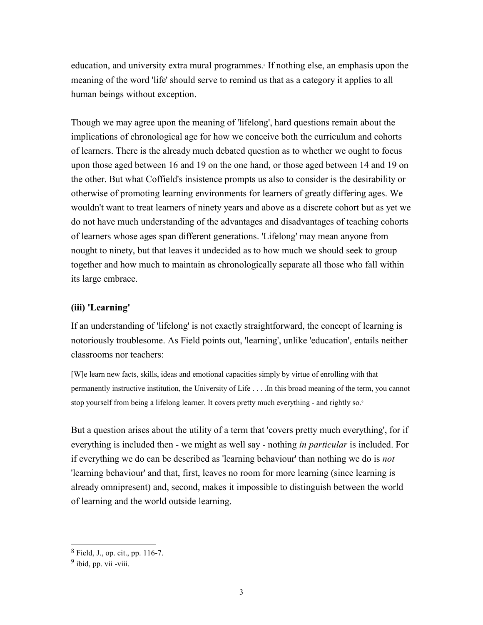education, and university extra mural programmes.<sup>[8](#page-2-0)</sup> If nothing else, an emphasis upon the meaning of the word 'life' should serve to remind us that as a category it applies to all human beings without exception.

Though we may agree upon the meaning of 'lifelong', hard questions remain about the implications of chronological age for how we conceive both the curriculum and cohorts of learners. There is the already much debated question as to whether we ought to focus upon those aged between 16 and 19 on the one hand, or those aged between 14 and 19 on the other. But what Coffield's insistence prompts us also to consider is the desirability or otherwise of promoting learning environments for learners of greatly differing ages. We wouldn't want to treat learners of ninety years and above as a discrete cohort but as yet we do not have much understanding of the advantages and disadvantages of teaching cohorts of learners whose ages span different generations. 'Lifelong' may mean anyone from nought to ninety, but that leaves it undecided as to how much we should seek to group together and how much to maintain as chronologically separate all those who fall within its large embrace.

#### **(iii) 'Learning'**

If an understanding of 'lifelong' is not exactly straightforward, the concept of learning is notoriously troublesome. As Field points out, 'learning', unlike 'education', entails neither classrooms nor teachers:

[W]e learn new facts, skills, ideas and emotional capacities simply by virtue of enrolling with that permanently instructive institution, the University of Life . . . .In this broad meaning of the term, you cannot stop yourself from being a lifelong learner. It covers pretty much everything - and rightly so.<sup>[9](#page-2-1)</sup>

But a question arises about the utility of a term that 'covers pretty much everything', for if everything is included then - we might as well say - nothing *in particular* is included. For if everything we do can be described as 'learning behaviour' than nothing we do is *not* 'learning behaviour' and that, first, leaves no room for more learning (since learning is already omnipresent) and, second, makes it impossible to distinguish between the world of learning and the world outside learning.

<span id="page-2-0"></span><sup>8</sup> Field, J., op. cit., pp. 116-7.

<span id="page-2-1"></span><sup>&</sup>lt;sup>9</sup> ibid, pp. vii -viii.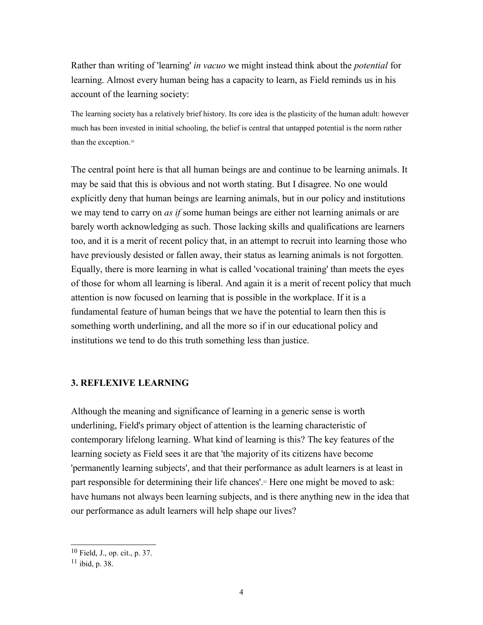Rather than writing of 'learning' *in vacuo* we might instead think about the *potential* for learning. Almost every human being has a capacity to learn, as Field reminds us in his account of the learning society:

The learning society has a relatively brief history. Its core idea is the plasticity of the human adult: however much has been invested in initial schooling, the belief is central that untapped potential is the norm rather than the exception.<sup>[10](#page-3-0)</sup>

The central point here is that all human beings are and continue to be learning animals. It may be said that this is obvious and not worth stating. But I disagree. No one would explicitly deny that human beings are learning animals, but in our policy and institutions we may tend to carry on *as if* some human beings are either not learning animals or are barely worth acknowledging as such. Those lacking skills and qualifications are learners too, and it is a merit of recent policy that, in an attempt to recruit into learning those who have previously desisted or fallen away, their status as learning animals is not forgotten. Equally, there is more learning in what is called 'vocational training' than meets the eyes of those for whom all learning is liberal. And again it is a merit of recent policy that much attention is now focused on learning that is possible in the workplace. If it is a fundamental feature of human beings that we have the potential to learn then this is something worth underlining, and all the more so if in our educational policy and institutions we tend to do this truth something less than justice.

# **3. REFLEXIVE LEARNING**

Although the meaning and significance of learning in a generic sense is worth underlining, Field's primary object of attention is the learning characteristic of contemporary lifelong learning. What kind of learning is this? The key features of the learning society as Field sees it are that 'the majority of its citizens have become 'permanently learning subjects', and that their performance as adult learners is at least in part responsible for determining their life chances'.<sup>[11](#page-3-1)</sup> Here one might be moved to ask: have humans not always been learning subjects, and is there anything new in the idea that our performance as adult learners will help shape our lives?

<span id="page-3-0"></span><sup>10</sup> Field, J., op. cit., p. 37.

<span id="page-3-1"></span> $11$  ibid, p. 38.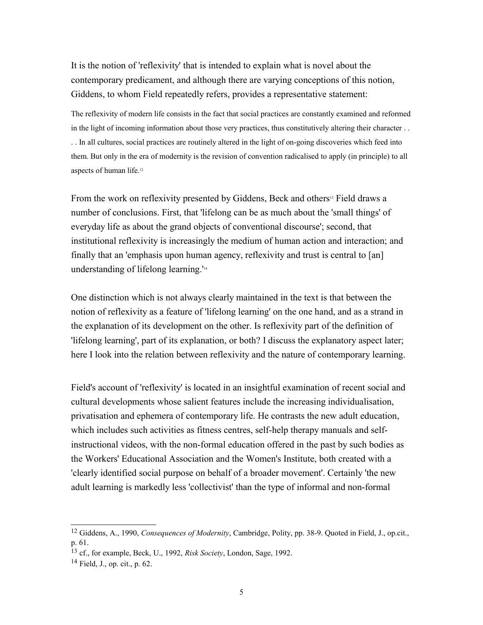It is the notion of 'reflexivity' that is intended to explain what is novel about the contemporary predicament, and although there are varying conceptions of this notion, Giddens, to whom Field repeatedly refers, provides a representative statement:

The reflexivity of modern life consists in the fact that social practices are constantly examined and reformed in the light of incoming information about those very practices, thus constitutively altering their character . . . . In all cultures, social practices are routinely altered in the light of on-going discoveries which feed into them. But only in the era of modernity is the revision of convention radicalised to apply (in principle) to all aspects of human life.[12](#page-4-0)

From the work on reflexivity presented by Giddens, Beck and others<sup>[13](#page-4-1)</sup> Field draws a number of conclusions. First, that 'lifelong can be as much about the 'small things' of everyday life as about the grand objects of conventional discourse'; second, that institutional reflexivity is increasingly the medium of human action and interaction; and finally that an 'emphasis upon human agency, reflexivity and trust is central to [an] understanding of lifelong learning.'[14](#page-4-2)

One distinction which is not always clearly maintained in the text is that between the notion of reflexivity as a feature of 'lifelong learning' on the one hand, and as a strand in the explanation of its development on the other. Is reflexivity part of the definition of 'lifelong learning', part of its explanation, or both? I discuss the explanatory aspect later; here I look into the relation between reflexivity and the nature of contemporary learning.

Field's account of 'reflexivity' is located in an insightful examination of recent social and cultural developments whose salient features include the increasing individualisation, privatisation and ephemera of contemporary life. He contrasts the new adult education, which includes such activities as fitness centres, self-help therapy manuals and selfinstructional videos, with the non-formal education offered in the past by such bodies as the Workers' Educational Association and the Women's Institute, both created with a 'clearly identified social purpose on behalf of a broader movement'. Certainly 'the new adult learning is markedly less 'collectivist' than the type of informal and non-formal

<span id="page-4-0"></span><sup>12</sup> Giddens, A., 1990, *Consequences of Modernity*, Cambridge, Polity, pp. 38-9. Quoted in Field, J., op.cit., p. 61.

<span id="page-4-1"></span><sup>13</sup> cf., for example, Beck, U., 1992, *Risk Society*, London, Sage, 1992.

<span id="page-4-2"></span><sup>14</sup> Field, J., op. cit., p. 62.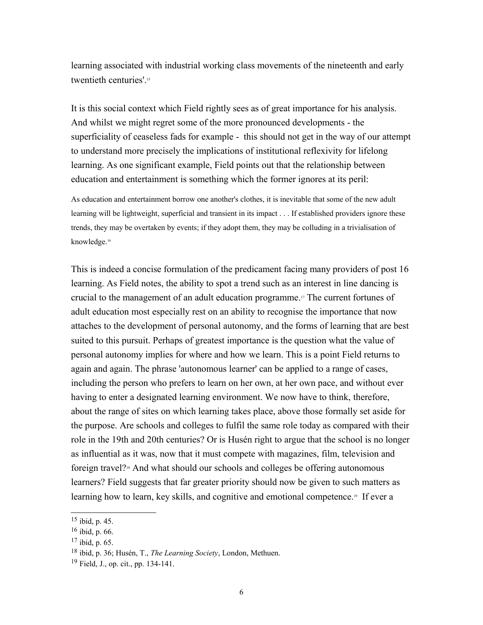learning associated with industrial working class movements of the nineteenth and early twentieth centuries'<sup>[15](#page-5-0)</sup>

It is this social context which Field rightly sees as of great importance for his analysis. And whilst we might regret some of the more pronounced developments - the superficiality of ceaseless fads for example - this should not get in the way of our attempt to understand more precisely the implications of institutional reflexivity for lifelong learning. As one significant example, Field points out that the relationship between education and entertainment is something which the former ignores at its peril:

As education and entertainment borrow one another's clothes, it is inevitable that some of the new adult learning will be lightweight, superficial and transient in its impact . . . If established providers ignore these trends, they may be overtaken by events; if they adopt them, they may be colluding in a trivialisation of knowledge.[16](#page-5-1)

This is indeed a concise formulation of the predicament facing many providers of post 16 learning. As Field notes, the ability to spot a trend such as an interest in line dancing is crucial to the management of an adult education programme.[17](#page-5-2) The current fortunes of adult education most especially rest on an ability to recognise the importance that now attaches to the development of personal autonomy, and the forms of learning that are best suited to this pursuit. Perhaps of greatest importance is the question what the value of personal autonomy implies for where and how we learn. This is a point Field returns to again and again. The phrase 'autonomous learner' can be applied to a range of cases, including the person who prefers to learn on her own, at her own pace, and without ever having to enter a designated learning environment. We now have to think, therefore, about the range of sites on which learning takes place, above those formally set aside for the purpose. Are schools and colleges to fulfil the same role today as compared with their role in the 19th and 20th centuries? Or is Husén right to argue that the school is no longer as influential as it was, now that it must compete with magazines, film, television and foreign travel?[18](#page-5-3) And what should our schools and colleges be offering autonomous learners? Field suggests that far greater priority should now be given to such matters as learning how to learn, key skills, and cognitive and emotional competence.<sup>[19](#page-5-4)</sup> If ever a

<span id="page-5-0"></span><sup>15</sup> ibid, p. 45.

<span id="page-5-1"></span><sup>16</sup> ibid, p. 66.

<span id="page-5-2"></span> $17$  ibid, p. 65.

<span id="page-5-3"></span><sup>18</sup> ibid, p. 36; Husén, T., *The Learning Society*, London, Methuen.

<span id="page-5-4"></span><sup>19</sup> Field, J., op. cit., pp. 134-141.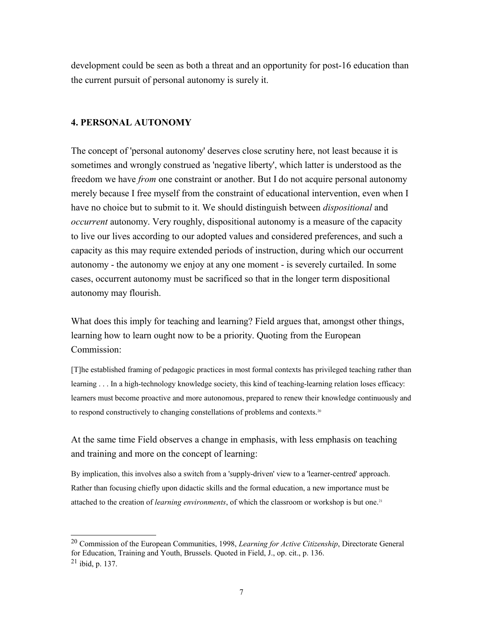development could be seen as both a threat and an opportunity for post-16 education than the current pursuit of personal autonomy is surely it.

## **4. PERSONAL AUTONOMY**

The concept of 'personal autonomy' deserves close scrutiny here, not least because it is sometimes and wrongly construed as 'negative liberty', which latter is understood as the freedom we have *from* one constraint or another. But I do not acquire personal autonomy merely because I free myself from the constraint of educational intervention, even when I have no choice but to submit to it. We should distinguish between *dispositional* and *occurrent* autonomy. Very roughly, dispositional autonomy is a measure of the capacity to live our lives according to our adopted values and considered preferences, and such a capacity as this may require extended periods of instruction, during which our occurrent autonomy - the autonomy we enjoy at any one moment - is severely curtailed. In some cases, occurrent autonomy must be sacrificed so that in the longer term dispositional autonomy may flourish.

What does this imply for teaching and learning? Field argues that, amongst other things, learning how to learn ought now to be a priority. Quoting from the European Commission:

[T]he established framing of pedagogic practices in most formal contexts has privileged teaching rather than learning . . . In a high-technology knowledge society, this kind of teaching-learning relation loses efficacy: learners must become proactive and more autonomous, prepared to renew their knowledge continuously and to respond constructively to changing constellations of problems and contexts.<sup>[20](#page-6-0)</sup>

At the same time Field observes a change in emphasis, with less emphasis on teaching and training and more on the concept of learning:

By implication, this involves also a switch from a 'supply-driven' view to a 'learner-centred' approach. Rather than focusing chiefly upon didactic skills and the formal education, a new importance must be attached to the creation of *learning environments*, of which the classroom or workshop is but one.<sup>[21](#page-6-1)</sup>

<span id="page-6-1"></span><span id="page-6-0"></span><sup>20</sup> Commission of the European Communities, 1998, *Learning for Active Citizenship*, Directorate General for Education, Training and Youth, Brussels. Quoted in Field, J., op. cit., p. 136. <sup>21</sup> ibid, p. 137.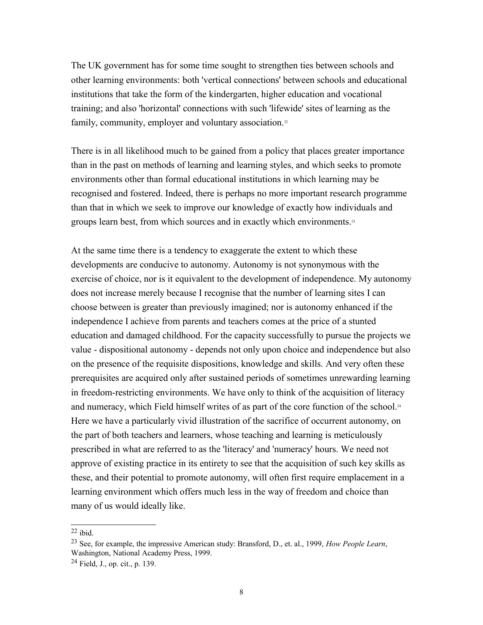The UK government has for some time sought to strengthen ties between schools and other learning environments: both 'vertical connections' between schools and educational institutions that take the form of the kindergarten, higher education and vocational training; and also 'horizontal' connections with such 'lifewide' sites of learning as the family, community, employer and voluntary association.<sup>[22](#page-7-0)</sup>

There is in all likelihood much to be gained from a policy that places greater importance than in the past on methods of learning and learning styles, and which seeks to promote environments other than formal educational institutions in which learning may be recognised and fostered. Indeed, there is perhaps no more important research programme than that in which we seek to improve our knowledge of exactly how individuals and groups learn best, from which sources and in exactly which environments.[23](#page-7-1)

At the same time there is a tendency to exaggerate the extent to which these developments are conducive to autonomy. Autonomy is not synonymous with the exercise of choice, nor is it equivalent to the development of independence. My autonomy does not increase merely because I recognise that the number of learning sites I can choose between is greater than previously imagined; nor is autonomy enhanced if the independence I achieve from parents and teachers comes at the price of a stunted education and damaged childhood. For the capacity successfully to pursue the projects we value - dispositional autonomy - depends not only upon choice and independence but also on the presence of the requisite dispositions, knowledge and skills. And very often these prerequisites are acquired only after sustained periods of sometimes unrewarding learning in freedom-restricting environments. We have only to think of the acquisition of literacy and numeracy, which Field himself writes of as part of the core function of the school.<sup>[24](#page-7-2)</sup> Here we have a particularly vivid illustration of the sacrifice of occurrent autonomy, on the part of both teachers and learners, whose teaching and learning is meticulously prescribed in what are referred to as the 'literacy' and 'numeracy' hours. We need not approve of existing practice in its entirety to see that the acquisition of such key skills as these, and their potential to promote autonomy, will often first require emplacement in a learning environment which offers much less in the way of freedom and choice than many of us would ideally like.

<span id="page-7-0"></span> $22$  ibid.

<span id="page-7-1"></span><sup>23</sup> See, for example, the impressive American study: Bransford, D., et. al., 1999, *How People Learn*, Washington, National Academy Press, 1999.

<span id="page-7-2"></span><sup>24</sup> Field, J., op. cit., p. 139.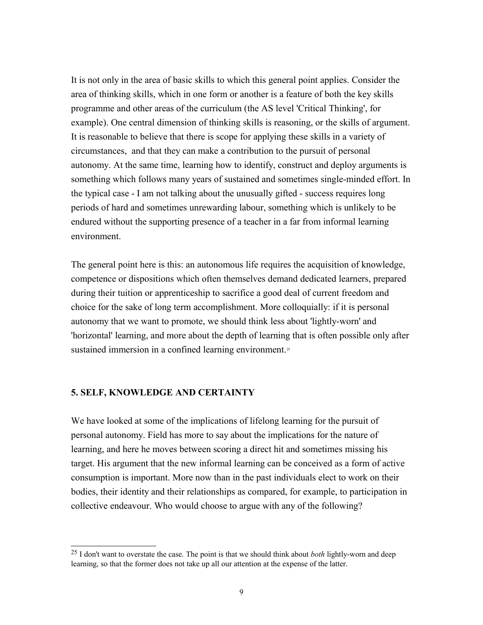It is not only in the area of basic skills to which this general point applies. Consider the area of thinking skills, which in one form or another is a feature of both the key skills programme and other areas of the curriculum (the AS level 'Critical Thinking', for example). One central dimension of thinking skills is reasoning, or the skills of argument. It is reasonable to believe that there is scope for applying these skills in a variety of circumstances, and that they can make a contribution to the pursuit of personal autonomy. At the same time, learning how to identify, construct and deploy arguments is something which follows many years of sustained and sometimes single-minded effort. In the typical case - I am not talking about the unusually gifted - success requires long periods of hard and sometimes unrewarding labour, something which is unlikely to be endured without the supporting presence of a teacher in a far from informal learning environment.

The general point here is this: an autonomous life requires the acquisition of knowledge, competence or dispositions which often themselves demand dedicated learners, prepared during their tuition or apprenticeship to sacrifice a good deal of current freedom and choice for the sake of long term accomplishment. More colloquially: if it is personal autonomy that we want to promote, we should think less about 'lightly-worn' and 'horizontal' learning, and more about the depth of learning that is often possible only after sustained immersion in a confined learning environment.<sup>[25](#page-8-0)</sup>

#### **5. SELF, KNOWLEDGE AND CERTAINTY**

We have looked at some of the implications of lifelong learning for the pursuit of personal autonomy. Field has more to say about the implications for the nature of learning, and here he moves between scoring a direct hit and sometimes missing his target. His argument that the new informal learning can be conceived as a form of active consumption is important. More now than in the past individuals elect to work on their bodies, their identity and their relationships as compared, for example, to participation in collective endeavour. Who would choose to argue with any of the following?

<span id="page-8-0"></span><sup>25</sup> I don't want to overstate the case. The point is that we should think about *both* lightly-worn and deep learning, so that the former does not take up all our attention at the expense of the latter.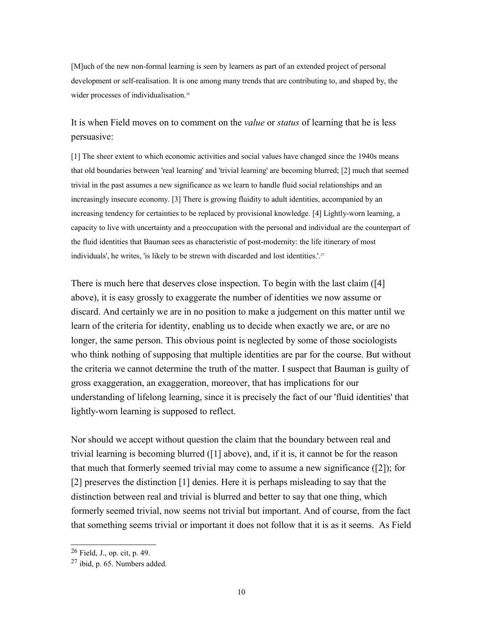[M]uch of the new non-formal learning is seen by learners as part of an extended project of personal development or self-realisation. It is one among many trends that are contributing to, and shaped by, the wider processes of individualisation.<sup>[26](#page-9-0)</sup>

It is when Field moves on to comment on the *value* or *status* of learning that he is less persuasive:

[1] The sheer extent to which economic activities and social values have changed since the 1940s means that old boundaries between 'real learning' and 'trivial learning' are becoming blurred; [2] much that seemed trivial in the past assumes a new significance as we learn to handle fluid social relationships and an increasingly insecure economy. [3] There is growing fluidity to adult identities, accompanied by an increasing tendency for certainties to be replaced by provisional knowledge. [4] Lightly-worn learning, a capacity to live with uncertainty and a preoccupation with the personal and individual are the counterpart of the fluid identities that Bauman sees as characteristic of post-modernity: the life itinerary of most individuals', he writes, 'is likely to be strewn with discarded and lost identities.'.<sup>[27](#page-9-1)</sup>

There is much here that deserves close inspection. To begin with the last claim ([4] above), it is easy grossly to exaggerate the number of identities we now assume or discard. And certainly we are in no position to make a judgement on this matter until we learn of the criteria for identity, enabling us to decide when exactly we are, or are no longer, the same person. This obvious point is neglected by some of those sociologists who think nothing of supposing that multiple identities are par for the course. But without the criteria we cannot determine the truth of the matter. I suspect that Bauman is guilty of gross exaggeration, an exaggeration, moreover, that has implications for our understanding of lifelong learning, since it is precisely the fact of our 'fluid identities' that lightly-worn learning is supposed to reflect.

Nor should we accept without question the claim that the boundary between real and trivial learning is becoming blurred ([1] above), and, if it is, it cannot be for the reason that much that formerly seemed trivial may come to assume a new significance ([2]); for [2] preserves the distinction [1] denies. Here it is perhaps misleading to say that the distinction between real and trivial is blurred and better to say that one thing, which formerly seemed trivial, now seems not trivial but important. And of course, from the fact that something seems trivial or important it does not follow that it is as it seems. As Field

<span id="page-9-0"></span><sup>26</sup> Field, J., op. cit, p. 49.

<span id="page-9-1"></span> $27$  ibid, p. 65. Numbers added.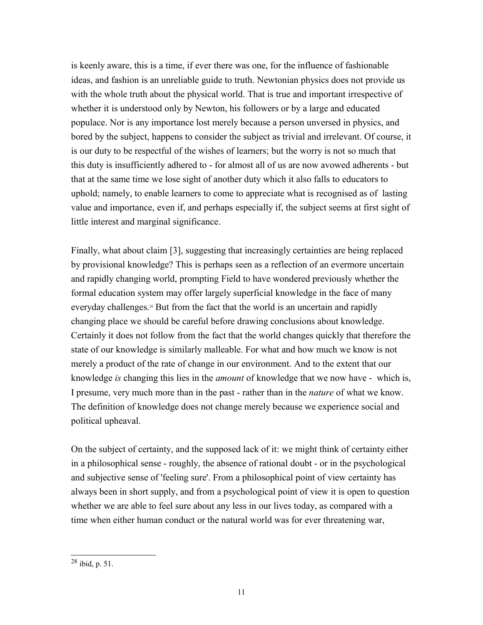is keenly aware, this is a time, if ever there was one, for the influence of fashionable ideas, and fashion is an unreliable guide to truth. Newtonian physics does not provide us with the whole truth about the physical world. That is true and important irrespective of whether it is understood only by Newton, his followers or by a large and educated populace. Nor is any importance lost merely because a person unversed in physics, and bored by the subject, happens to consider the subject as trivial and irrelevant. Of course, it is our duty to be respectful of the wishes of learners; but the worry is not so much that this duty is insufficiently adhered to - for almost all of us are now avowed adherents - but that at the same time we lose sight of another duty which it also falls to educators to uphold; namely, to enable learners to come to appreciate what is recognised as of lasting value and importance, even if, and perhaps especially if, the subject seems at first sight of little interest and marginal significance.

Finally, what about claim [3], suggesting that increasingly certainties are being replaced by provisional knowledge? This is perhaps seen as a reflection of an evermore uncertain and rapidly changing world, prompting Field to have wondered previously whether the formal education system may offer largely superficial knowledge in the face of many everyday challenges.<sup>[28](#page-10-0)</sup> But from the fact that the world is an uncertain and rapidly changing place we should be careful before drawing conclusions about knowledge. Certainly it does not follow from the fact that the world changes quickly that therefore the state of our knowledge is similarly malleable. For what and how much we know is not merely a product of the rate of change in our environment. And to the extent that our knowledge *is* changing this lies in the *amount* of knowledge that we now have - which is, I presume, very much more than in the past - rather than in the *nature* of what we know. The definition of knowledge does not change merely because we experience social and political upheaval.

On the subject of certainty, and the supposed lack of it: we might think of certainty either in a philosophical sense - roughly, the absence of rational doubt - or in the psychological and subjective sense of 'feeling sure'. From a philosophical point of view certainty has always been in short supply, and from a psychological point of view it is open to question whether we are able to feel sure about any less in our lives today, as compared with a time when either human conduct or the natural world was for ever threatening war,

<span id="page-10-0"></span><sup>28</sup> ibid, p. 51.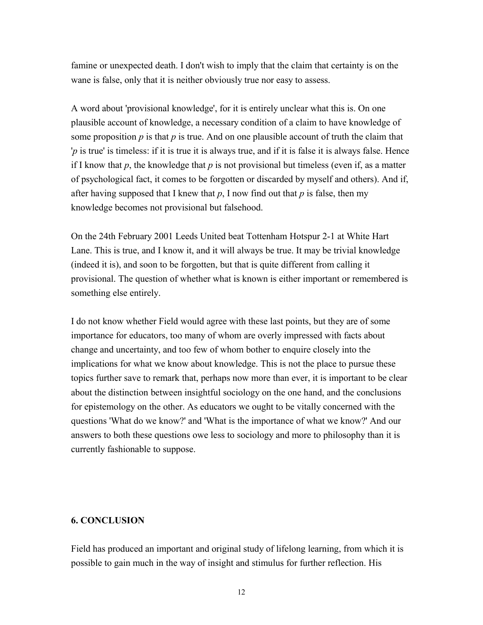famine or unexpected death. I don't wish to imply that the claim that certainty is on the wane is false, only that it is neither obviously true nor easy to assess.

A word about 'provisional knowledge', for it is entirely unclear what this is. On one plausible account of knowledge, a necessary condition of a claim to have knowledge of some proposition *p* is that *p* is true. And on one plausible account of truth the claim that '*p* is true' is timeless: if it is true it is always true, and if it is false it is always false. Hence if I know that  $p$ , the knowledge that  $p$  is not provisional but timeless (even if, as a matter of psychological fact, it comes to be forgotten or discarded by myself and others). And if, after having supposed that I knew that  $p$ , I now find out that  $p$  is false, then my knowledge becomes not provisional but falsehood.

On the 24th February 2001 Leeds United beat Tottenham Hotspur 2-1 at White Hart Lane. This is true, and I know it, and it will always be true. It may be trivial knowledge (indeed it is), and soon to be forgotten, but that is quite different from calling it provisional. The question of whether what is known is either important or remembered is something else entirely.

I do not know whether Field would agree with these last points, but they are of some importance for educators, too many of whom are overly impressed with facts about change and uncertainty, and too few of whom bother to enquire closely into the implications for what we know about knowledge. This is not the place to pursue these topics further save to remark that, perhaps now more than ever, it is important to be clear about the distinction between insightful sociology on the one hand, and the conclusions for epistemology on the other. As educators we ought to be vitally concerned with the questions 'What do we know?' and 'What is the importance of what we know?' And our answers to both these questions owe less to sociology and more to philosophy than it is currently fashionable to suppose.

# **6. CONCLUSION**

Field has produced an important and original study of lifelong learning, from which it is possible to gain much in the way of insight and stimulus for further reflection. His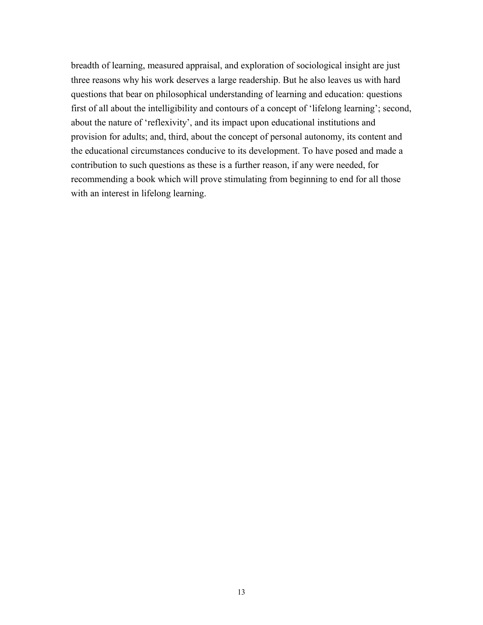breadth of learning, measured appraisal, and exploration of sociological insight are just three reasons why his work deserves a large readership. But he also leaves us with hard questions that bear on philosophical understanding of learning and education: questions first of all about the intelligibility and contours of a concept of 'lifelong learning'; second, about the nature of 'reflexivity', and its impact upon educational institutions and provision for adults; and, third, about the concept of personal autonomy, its content and the educational circumstances conducive to its development. To have posed and made a contribution to such questions as these is a further reason, if any were needed, for recommending a book which will prove stimulating from beginning to end for all those with an interest in lifelong learning.